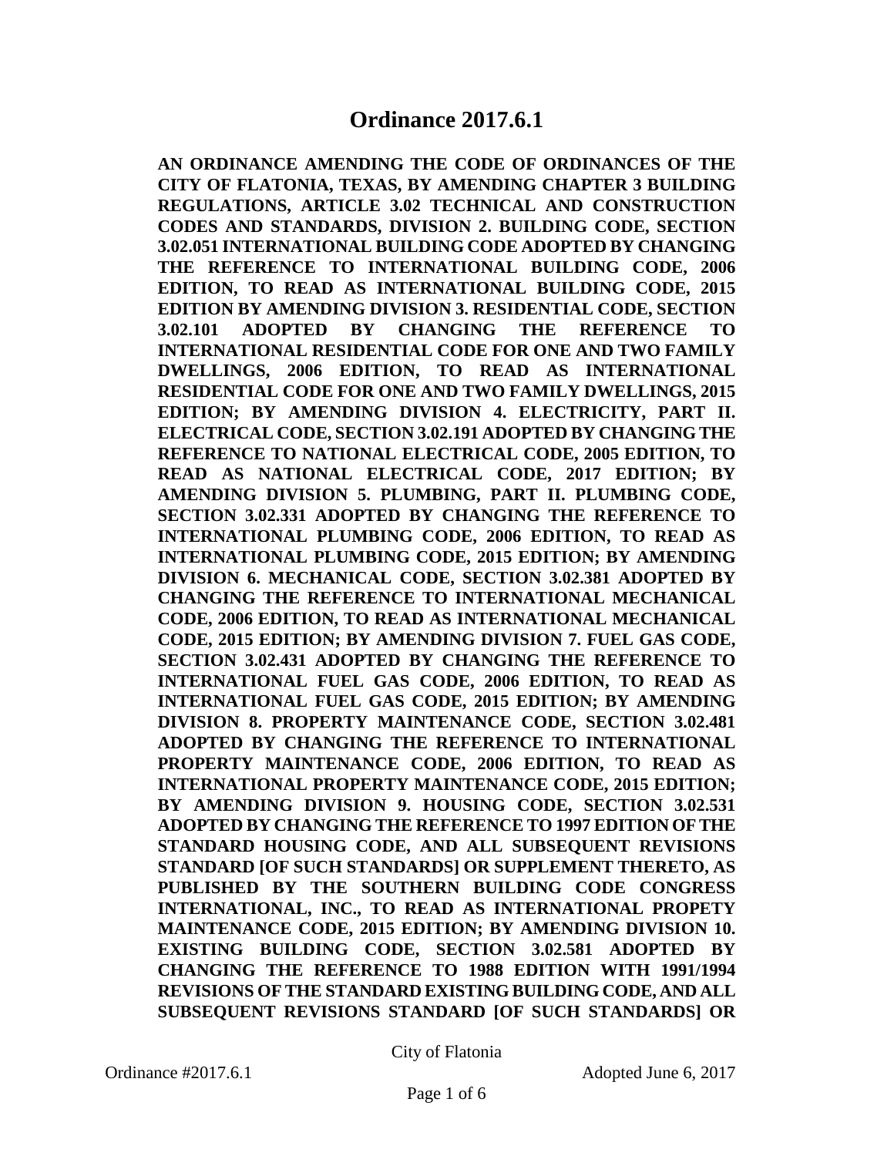**AN ORDINANCE AMENDING THE CODE OF ORDINANCES OF THE CITY OF FLATONIA, TEXAS, BY AMENDING CHAPTER 3 BUILDING REGULATIONS, ARTICLE 3.02 TECHNICAL AND CONSTRUCTION CODES AND STANDARDS, DIVISION 2. BUILDING CODE, SECTION 3.02.051 INTERNATIONAL BUILDING CODE ADOPTED BY CHANGING THE REFERENCE TO INTERNATIONAL BUILDING CODE, 2006 EDITION, TO READ AS INTERNATIONAL BUILDING CODE, 2015 EDITION BY AMENDING DIVISION 3. RESIDENTIAL CODE, SECTION 3.02.101 ADOPTED BY CHANGING THE REFERENCE TO INTERNATIONAL RESIDENTIAL CODE FOR ONE AND TWO FAMILY DWELLINGS, 2006 EDITION, TO READ AS INTERNATIONAL RESIDENTIAL CODE FOR ONE AND TWO FAMILY DWELLINGS, 2015 EDITION; BY AMENDING DIVISION 4. ELECTRICITY, PART II. ELECTRICAL CODE, SECTION 3.02.191 ADOPTED BY CHANGING THE REFERENCE TO NATIONAL ELECTRICAL CODE, 2005 EDITION, TO READ AS NATIONAL ELECTRICAL CODE, 2017 EDITION; BY AMENDING DIVISION 5. PLUMBING, PART II. PLUMBING CODE, SECTION 3.02.331 ADOPTED BY CHANGING THE REFERENCE TO INTERNATIONAL PLUMBING CODE, 2006 EDITION, TO READ AS INTERNATIONAL PLUMBING CODE, 2015 EDITION; BY AMENDING DIVISION 6. MECHANICAL CODE, SECTION 3.02.381 ADOPTED BY CHANGING THE REFERENCE TO INTERNATIONAL MECHANICAL CODE, 2006 EDITION, TO READ AS INTERNATIONAL MECHANICAL CODE, 2015 EDITION; BY AMENDING DIVISION 7. FUEL GAS CODE, SECTION 3.02.431 ADOPTED BY CHANGING THE REFERENCE TO INTERNATIONAL FUEL GAS CODE, 2006 EDITION, TO READ AS INTERNATIONAL FUEL GAS CODE, 2015 EDITION; BY AMENDING DIVISION 8. PROPERTY MAINTENANCE CODE, SECTION 3.02.481 ADOPTED BY CHANGING THE REFERENCE TO INTERNATIONAL PROPERTY MAINTENANCE CODE, 2006 EDITION, TO READ AS INTERNATIONAL PROPERTY MAINTENANCE CODE, 2015 EDITION; BY AMENDING DIVISION 9. HOUSING CODE, SECTION 3.02.531 ADOPTED BY CHANGING THE REFERENCE TO 1997 EDITION OF THE STANDARD HOUSING CODE, AND ALL SUBSEQUENT REVISIONS STANDARD [OF SUCH STANDARDS] OR SUPPLEMENT THERETO, AS PUBLISHED BY THE SOUTHERN BUILDING CODE CONGRESS INTERNATIONAL, INC., TO READ AS INTERNATIONAL PROPETY MAINTENANCE CODE, 2015 EDITION; BY AMENDING DIVISION 10. EXISTING BUILDING CODE, SECTION 3.02.581 ADOPTED BY CHANGING THE REFERENCE TO 1988 EDITION WITH 1991/1994 REVISIONS OF THE STANDARD EXISTING BUILDING CODE, AND ALL SUBSEQUENT REVISIONS STANDARD [OF SUCH STANDARDS] OR** 

City of Flatonia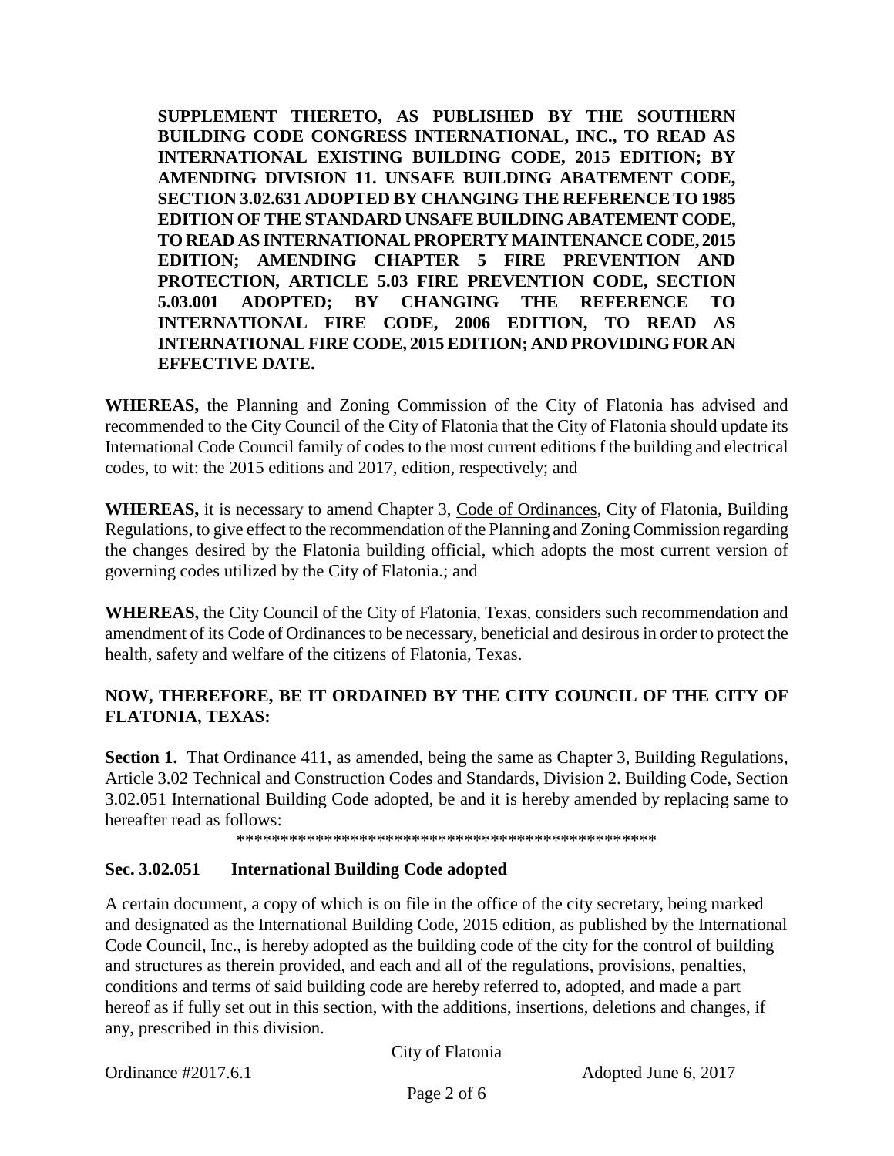**SUPPLEMENT THERETO, AS PUBLISHED BY THE SOUTHERN BUILDING CODE CONGRESS INTERNATIONAL, INC., TO READ AS INTERNATIONAL EXISTING BUILDING CODE, 2015 EDITION; BY AMENDING DIVISION 11. UNSAFE BUILDING ABATEMENT CODE, SECTION 3.02.631 ADOPTED BY CHANGING THE REFERENCE TO 1985 EDITION OF THE STANDARD UNSAFE BUILDING ABATEMENT CODE, TO READ AS INTERNATIONAL PROPERTY MAINTENANCE CODE, 2015 EDITION; AMENDING CHAPTER 5 FIRE PREVENTION AND PROTECTION, ARTICLE 5.03 FIRE PREVENTION CODE, SECTION 5.03.001 ADOPTED; BY CHANGING THE REFERENCE TO INTERNATIONAL FIRE CODE, 2006 EDITION, TO READ AS INTERNATIONAL FIRE CODE, 2015 EDITION; AND PROVIDING FOR AN EFFECTIVE DATE.**

**WHEREAS,** the Planning and Zoning Commission of the City of Flatonia has advised and recommended to the City Council of the City of Flatonia that the City of Flatonia should update its International Code Council family of codes to the most current editions f the building and electrical codes, to wit: the 2015 editions and 2017, edition, respectively; and

**WHEREAS,** it is necessary to amend Chapter 3, Code of Ordinances, City of Flatonia, Building Regulations, to give effect to the recommendation of the Planning and Zoning Commission regarding the changes desired by the Flatonia building official, which adopts the most current version of governing codes utilized by the City of Flatonia.; and

**WHEREAS,** the City Council of the City of Flatonia, Texas, considers such recommendation and amendment of its Code of Ordinances to be necessary, beneficial and desirous in order to protect the health, safety and welfare of the citizens of Flatonia, Texas.

# **NOW, THEREFORE, BE IT ORDAINED BY THE CITY COUNCIL OF THE CITY OF FLATONIA, TEXAS:**

**Section 1.** That Ordinance 411, as amended, being the same as Chapter 3, Building Regulations, Article 3.02 Technical and Construction Codes and Standards, Division 2. Building Code, Section 3.02.051 International Building Code adopted, be and it is hereby amended by replacing same to hereafter read as follows:

\*\*\*\*\*\*\*\*\*\*\*\*\*\*\*\*\*\*\*\*\*\*\*\*\*\*\*\*\*\*\*\*\*\*\*\*\*\*\*\*\*\*\*\*\*\*\*\*

# **Sec. 3.02.051 International Building Code adopted**

A certain document, a copy of which is on file in the office of the city secretary, being marked and designated as the International Building Code, 2015 edition, as published by the International Code Council, Inc., is hereby adopted as the building code of the city for the control of building and structures as therein provided, and each and all of the regulations, provisions, penalties, conditions and terms of said building code are hereby referred to, adopted, and made a part hereof as if fully set out in this section, with the additions, insertions, deletions and changes, if any, prescribed in this division.

City of Flatonia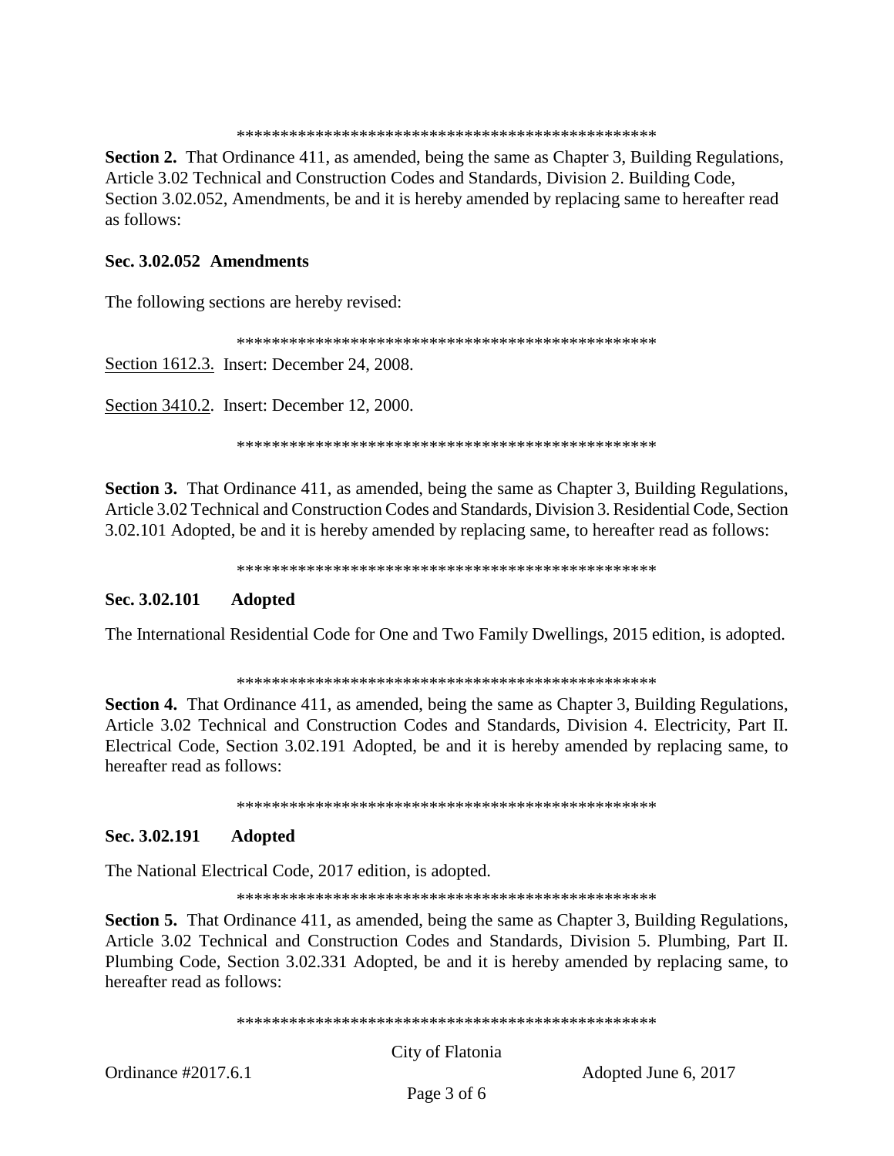\*\*\*\*\*\*\*\*\*\*\*\*\*\*\*\*\*\*\*\*\*\*\*\*\*\*\*\*\*\*\*\*\*\*\*\*\*\*\*\*\*\*\*\*\*\*\*\*

**Section 2.** That Ordinance 411, as amended, being the same as Chapter 3, Building Regulations, Article 3.02 Technical and Construction Codes and Standards, Division 2. Building Code, Section 3.02.052, Amendments, be and it is hereby amended by replacing same to hereafter read as follows:

#### **Sec. 3.02.052 Amendments**

The following sections are hereby revised:

\*\*\*\*\*\*\*\*\*\*\*\*\*\*\*\*\*\*\*\*\*\*\*\*\*\*\*\*\*\*\*\*\*\*\*\*\*\*\*\*\*\*\*\*\*\*\*\*

Section 1612.3. Insert: December 24, 2008.

Section 3410.2. Insert: December 12, 2000.

\*\*\*\*\*\*\*\*\*\*\*\*\*\*\*\*\*\*\*\*\*\*\*\*\*\*\*\*\*\*\*\*\*\*\*\*\*\*\*\*\*\*\*\*\*\*\*\*

**Section 3.** That Ordinance 411, as amended, being the same as Chapter 3, Building Regulations, Article 3.02 Technical and Construction Codes and Standards, Division 3. Residential Code, Section 3.02.101 Adopted, be and it is hereby amended by replacing same, to hereafter read as follows:

\*\*\*\*\*\*\*\*\*\*\*\*\*\*\*\*\*\*\*\*\*\*\*\*\*\*\*\*\*\*\*\*\*\*\*\*\*\*\*\*\*\*\*\*\*\*\*\*

### **Sec. 3.02.101 Adopted**

The International Residential Code for One and Two Family Dwellings, 2015 edition, is adopted.

\*\*\*\*\*\*\*\*\*\*\*\*\*\*\*\*\*\*\*\*\*\*\*\*\*\*\*\*\*\*\*\*\*\*\*\*\*\*\*\*\*\*\*\*\*\*\*\*

**Section 4.** That Ordinance 411, as amended, being the same as Chapter 3, Building Regulations, Article 3.02 Technical and Construction Codes and Standards, Division 4. Electricity, Part II. Electrical Code, Section 3.02.191 Adopted, be and it is hereby amended by replacing same, to hereafter read as follows:

\*\*\*\*\*\*\*\*\*\*\*\*\*\*\*\*\*\*\*\*\*\*\*\*\*\*\*\*\*\*\*\*\*\*\*\*\*\*\*\*\*\*\*\*\*\*\*\*

### **Sec. 3.02.191 Adopted**

The National Electrical Code, 2017 edition, is adopted.

\*\*\*\*\*\*\*\*\*\*\*\*\*\*\*\*\*\*\*\*\*\*\*\*\*\*\*\*\*\*\*\*\*\*\*\*\*\*\*\*\*\*\*\*\*\*\*\*

**Section 5.** That Ordinance 411, as amended, being the same as Chapter 3, Building Regulations, Article 3.02 Technical and Construction Codes and Standards, Division 5. Plumbing, Part II. Plumbing Code, Section 3.02.331 Adopted, be and it is hereby amended by replacing same, to hereafter read as follows:

\*\*\*\*\*\*\*\*\*\*\*\*\*\*\*\*\*\*\*\*\*\*\*\*\*\*\*\*\*\*\*\*\*\*\*\*\*\*\*\*\*\*\*\*\*\*\*\*

City of Flatonia

Ordinance #2017.6.1 Adopted June 6, 2017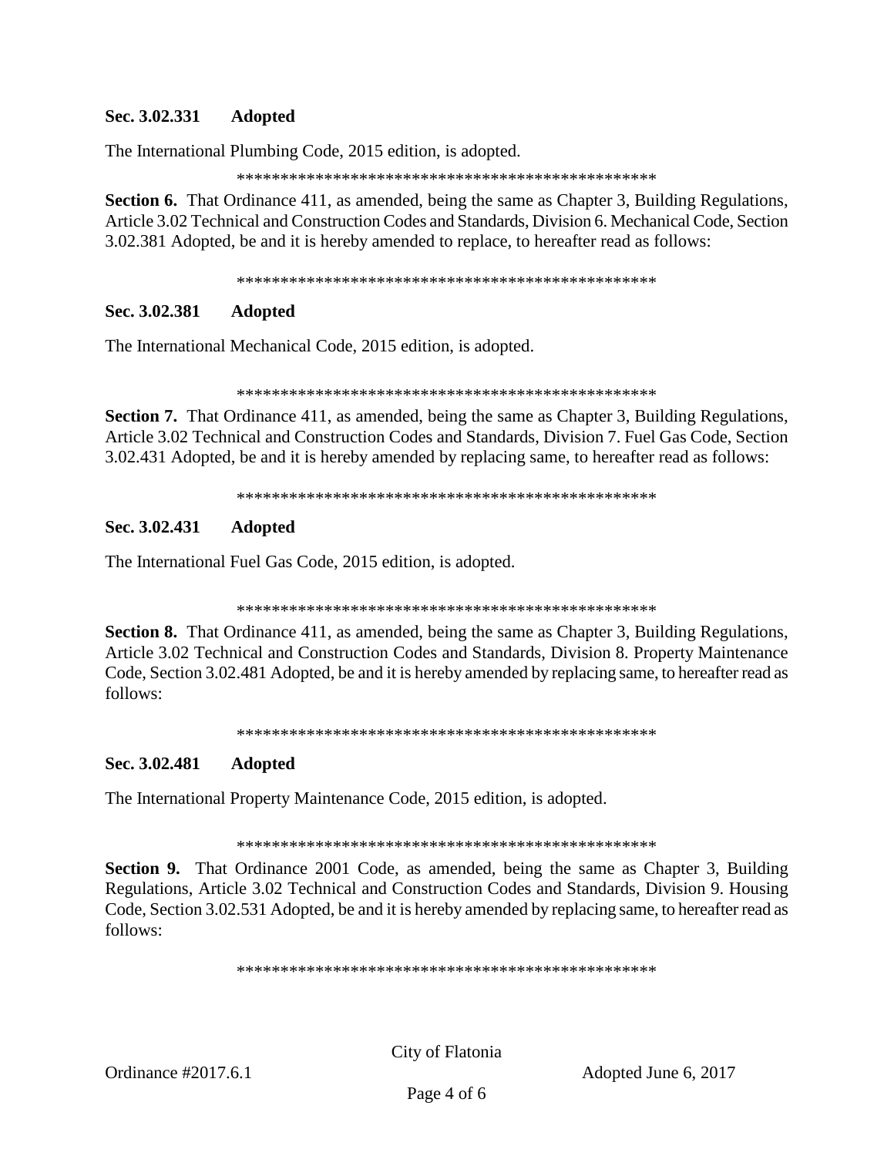### **Sec. 3.02.331 Adopted**

The International Plumbing Code, 2015 edition, is adopted.

\*\*\*\*\*\*\*\*\*\*\*\*\*\*\*\*\*\*\*\*\*\*\*\*\*\*\*\*\*\*\*\*\*\*\*\*\*\*\*\*\*\*\*\*\*\*\*\*

**Section 6.** That Ordinance 411, as amended, being the same as Chapter 3, Building Regulations, Article 3.02 Technical and Construction Codes and Standards, Division 6. Mechanical Code, Section 3.02.381 Adopted, be and it is hereby amended to replace, to hereafter read as follows:

\*\*\*\*\*\*\*\*\*\*\*\*\*\*\*\*\*\*\*\*\*\*\*\*\*\*\*\*\*\*\*\*\*\*\*\*\*\*\*\*\*\*\*\*\*\*\*\*

## **Sec. 3.02.381 Adopted**

The International Mechanical Code, 2015 edition, is adopted.

\*\*\*\*\*\*\*\*\*\*\*\*\*\*\*\*\*\*\*\*\*\*\*\*\*\*\*\*\*\*\*\*\*\*\*\*\*\*\*\*\*\*\*\*\*\*\*\*

**Section 7.** That Ordinance 411, as amended, being the same as Chapter 3, Building Regulations, Article 3.02 Technical and Construction Codes and Standards, Division 7. Fuel Gas Code, Section 3.02.431 Adopted, be and it is hereby amended by replacing same, to hereafter read as follows:

\*\*\*\*\*\*\*\*\*\*\*\*\*\*\*\*\*\*\*\*\*\*\*\*\*\*\*\*\*\*\*\*\*\*\*\*\*\*\*\*\*\*\*\*\*\*\*\*

## **Sec. 3.02.431 Adopted**

The International Fuel Gas Code, 2015 edition, is adopted.

\*\*\*\*\*\*\*\*\*\*\*\*\*\*\*\*\*\*\*\*\*\*\*\*\*\*\*\*\*\*\*\*\*\*\*\*\*\*\*\*\*\*\*\*\*\*\*\*

**Section 8.** That Ordinance 411, as amended, being the same as Chapter 3, Building Regulations, Article 3.02 Technical and Construction Codes and Standards, Division 8. Property Maintenance Code, Section 3.02.481 Adopted, be and it is hereby amended by replacing same, to hereafter read as follows:

\*\*\*\*\*\*\*\*\*\*\*\*\*\*\*\*\*\*\*\*\*\*\*\*\*\*\*\*\*\*\*\*\*\*\*\*\*\*\*\*\*\*\*\*\*\*\*\*

## **Sec. 3.02.481 Adopted**

The International Property Maintenance Code, 2015 edition, is adopted.

\*\*\*\*\*\*\*\*\*\*\*\*\*\*\*\*\*\*\*\*\*\*\*\*\*\*\*\*\*\*\*\*\*\*\*\*\*\*\*\*\*\*\*\*\*\*\*\*

**Section 9.** That Ordinance 2001 Code, as amended, being the same as Chapter 3, Building Regulations, Article 3.02 Technical and Construction Codes and Standards, Division 9. Housing Code, Section 3.02.531 Adopted, be and it is hereby amended by replacing same, to hereafter read as follows:

\*\*\*\*\*\*\*\*\*\*\*\*\*\*\*\*\*\*\*\*\*\*\*\*\*\*\*\*\*\*\*\*\*\*\*\*\*\*\*\*\*\*\*\*\*\*\*\*

City of Flatonia

Ordinance #2017.6.1 Adopted June 6, 2017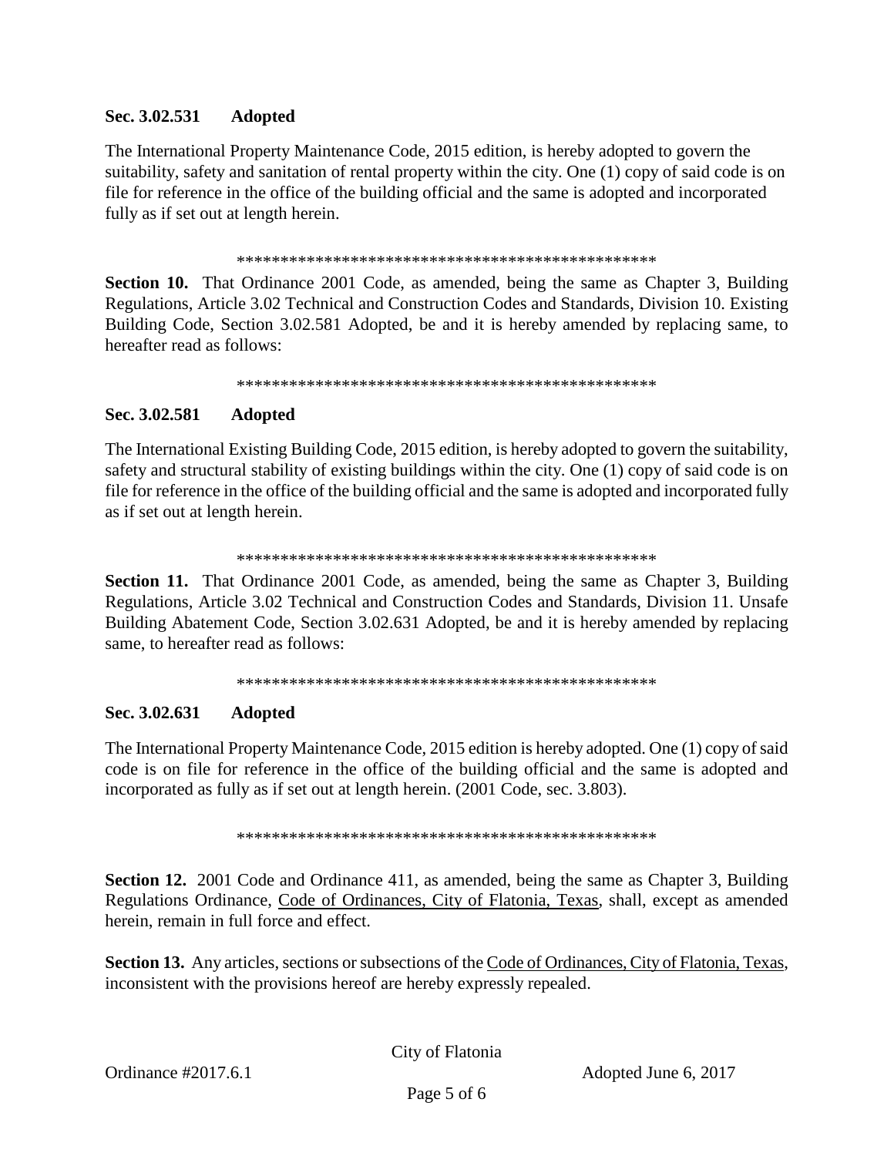#### Sec. 3.02.531 **Adopted**

The International Property Maintenance Code, 2015 edition, is hereby adopted to govern the suitability, safety and sanitation of rental property within the city. One (1) copy of said code is on file for reference in the office of the building official and the same is adopted and incorporated fully as if set out at length herein.

**Section 10.** That Ordinance 2001 Code, as amended, being the same as Chapter 3, Building Regulations, Article 3.02 Technical and Construction Codes and Standards, Division 10. Existing Building Code, Section 3.02.581 Adopted, be and it is hereby amended by replacing same, to hereafter read as follows:

#### Sec. 3.02.581 **Adopted**

The International Existing Building Code, 2015 edition, is hereby adopted to govern the suitability, safety and structural stability of existing buildings within the city. One (1) copy of said code is on file for reference in the office of the building official and the same is adopted and incorporated fully as if set out at length herein.

**Section 11.** That Ordinance 2001 Code, as amended, being the same as Chapter 3, Building Regulations, Article 3.02 Technical and Construction Codes and Standards, Division 11. Unsafe Building Abatement Code, Section 3.02.631 Adopted, be and it is hereby amended by replacing same, to hereafter read as follows:

#### Sec. 3.02.631 **Adopted**

The International Property Maintenance Code, 2015 edition is hereby adopted. One (1) copy of said code is on file for reference in the office of the building official and the same is adopted and incorporated as fully as if set out at length herein. (2001 Code, sec. 3.803).

**Section 12.** 2001 Code and Ordinance 411, as amended, being the same as Chapter 3, Building Regulations Ordinance, Code of Ordinances, City of Flatonia, Texas, shall, except as amended herein, remain in full force and effect.

Section 13. Any articles, sections or subsections of the Code of Ordinances, City of Flatonia, Texas, inconsistent with the provisions hereof are hereby expressly repealed.

City of Flatonia